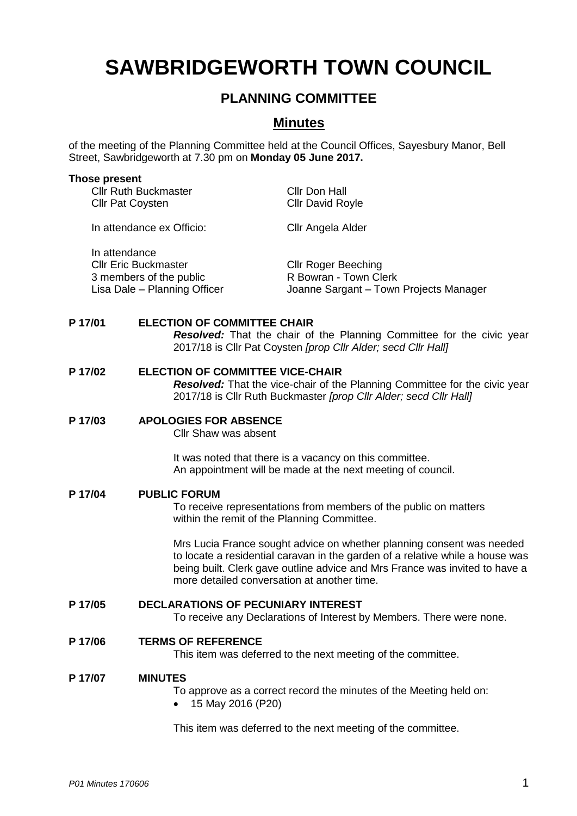# **SAWBRIDGEWORTH TOWN COUNCIL**

# **PLANNING COMMITTEE**

# **Minutes**

of the meeting of the Planning Committee held at the Council Offices, Sayesbury Manor, Bell Street, Sawbridgeworth at 7.30 pm on **Monday 05 June 2017.**

#### **Those present**

| <b>Cllr Ruth Buckmaster</b><br><b>Cllr Pat Coysten</b>                                                  | <b>Cllr Don Hall</b><br><b>Cllr David Royle</b>                                               |
|---------------------------------------------------------------------------------------------------------|-----------------------------------------------------------------------------------------------|
| In attendance ex Officio:                                                                               | Cllr Angela Alder                                                                             |
| In attendance<br><b>CIIr Eric Buckmaster</b><br>3 members of the public<br>Lisa Dale - Planning Officer | <b>CIIr Roger Beeching</b><br>R Bowran - Town Clerk<br>Joanne Sargant - Town Projects Manager |

### **P 17/01 ELECTION OF COMMITTEE CHAIR**

*Resolved:* That the chair of the Planning Committee for the civic year 2017/18 is Cllr Pat Coysten *[prop Cllr Alder; secd Cllr Hall]*

### **P 17/02 ELECTION OF COMMITTEE VICE-CHAIR**

*Resolved:* That the vice-chair of the Planning Committee for the civic year 2017/18 is Cllr Ruth Buckmaster *[prop Cllr Alder; secd Cllr Hall]*

## **P 17/03 APOLOGIES FOR ABSENCE**

Cllr Shaw was absent

It was noted that there is a vacancy on this committee. An appointment will be made at the next meeting of council.

#### **P 17/04 PUBLIC FORUM**

To receive representations from members of the public on matters within the remit of the Planning Committee.

Mrs Lucia France sought advice on whether planning consent was needed to locate a residential caravan in the garden of a relative while a house was being built. Clerk gave outline advice and Mrs France was invited to have a more detailed conversation at another time.

### **P 17/05 DECLARATIONS OF PECUNIARY INTEREST**

To receive any Declarations of Interest by Members. There were none.

#### **P 17/06 TERMS OF REFERENCE**

This item was deferred to the next meeting of the committee.

#### **P 17/07 MINUTES**

To approve as a correct record the minutes of the Meeting held on:

15 May 2016 (P20)

This item was deferred to the next meeting of the committee.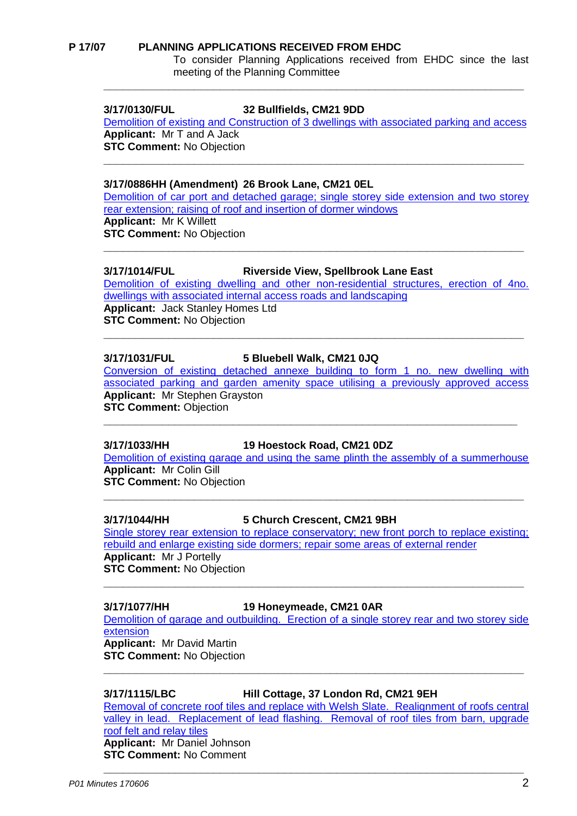#### **P 17/07 PLANNING APPLICATIONS RECEIVED FROM EHDC**

To consider Planning Applications received from EHDC since the last meeting of the Planning Committee

### **3/17/0130/FUL 32 Bullfields, CM21 9DD**

[Demolition of existing and Construction of 3 dwellings with associated parking and](https://publicaccess.eastherts.gov.uk/online-applications/applicationDetails.do?activeTab=summary&keyVal=OK1028GLMYG00) access **Applicant:** Mr T and A Jack **STC Comment:** No Objection

**\_\_\_\_\_\_\_\_\_\_\_\_\_\_\_\_\_\_\_\_\_\_\_\_\_\_\_\_\_\_\_\_\_\_\_\_\_\_\_\_\_\_\_\_\_\_\_\_\_\_\_\_\_\_\_\_\_\_\_\_\_\_\_\_\_**

**\_\_\_\_\_\_\_\_\_\_\_\_\_\_\_\_\_\_\_\_\_\_\_\_\_\_\_\_\_\_\_\_\_\_\_\_\_\_\_\_\_\_\_\_\_\_\_\_\_\_\_\_\_\_\_\_\_\_\_\_\_\_\_\_\_**

#### **3/17/0886HH (Amendment) 26 Brook Lane, CM21 0EL**

[Demolition of car port and detached garage; single storey side extension and two storey](https://publicaccess.eastherts.gov.uk/online-applications/applicationDetails.do?activeTab=summary&keyVal=OO78GCGLGDX00)  [rear extension; raising of roof and insertion of dormer windows](https://publicaccess.eastherts.gov.uk/online-applications/applicationDetails.do?activeTab=summary&keyVal=OO78GCGLGDX00) **Applicant:** Mr K Willett **STC Comment:** No Objection **\_\_\_\_\_\_\_\_\_\_\_\_\_\_\_\_\_\_\_\_\_\_\_\_\_\_\_\_\_\_\_\_\_\_\_\_\_\_\_\_\_\_\_\_\_\_\_\_\_\_\_\_\_\_\_\_\_\_\_\_\_\_\_\_\_**

**3/17/1014/FUL Riverside View, Spellbrook Lane East**

[Demolition of existing dwelling and other non-residential structures, erection of 4no.](https://publicaccess.eastherts.gov.uk/online-applications/applicationDetails.do?activeTab=summary&keyVal=OP2EO3GLGLE00)  [dwellings with associated internal access roads and landscaping](https://publicaccess.eastherts.gov.uk/online-applications/applicationDetails.do?activeTab=summary&keyVal=OP2EO3GLGLE00) **Applicant:** Jack Stanley Homes Ltd **STC Comment:** No Objection **\_\_\_\_\_\_\_\_\_\_\_\_\_\_\_\_\_\_\_\_\_\_\_\_\_\_\_\_\_\_\_\_\_\_\_\_\_\_\_\_\_\_\_\_\_\_\_\_\_\_\_\_\_\_\_\_\_\_\_\_\_\_\_\_\_**

#### **3/17/1031/FUL 5 Bluebell Walk, CM21 0JQ**

[Conversion of existing detached annexe building to form 1 no. new dwelling with](https://publicaccess.eastherts.gov.uk/online-applications/applicationDetails.do?activeTab=summary&keyVal=OP89RXGLGMO00)  [associated parking and garden amenity space utilising a previously approved access](https://publicaccess.eastherts.gov.uk/online-applications/applicationDetails.do?activeTab=summary&keyVal=OP89RXGLGMO00) **Applicant:** Mr Stephen Grayston **STC Comment: Objection** 

**\_\_\_\_\_\_\_\_\_\_\_\_\_\_\_\_\_\_\_\_\_\_\_\_\_\_\_\_\_\_\_\_\_\_\_\_\_\_\_\_\_\_\_\_\_\_\_\_\_\_\_\_\_\_\_\_\_\_\_\_\_\_\_\_**

#### **3/17/1033/HH 19 Hoestock Road, CM21 0DZ**

[Demolition of existing garage and using the same plinth the assembly of a summerhouse](https://publicaccess.eastherts.gov.uk/online-applications/applicationDetails.do?activeTab=summary&keyVal=OPA4G1GLGMV00) **Applicant:** Mr Colin Gill **STC Comment:** No Objection

**\_\_\_\_\_\_\_\_\_\_\_\_\_\_\_\_\_\_\_\_\_\_\_\_\_\_\_\_\_\_\_\_\_\_\_\_\_\_\_\_\_\_\_\_\_\_\_\_\_\_\_\_\_\_\_\_\_\_\_\_\_\_\_\_\_**

#### **3/17/1044/HH 5 Church Crescent, CM21 9BH**

Single storey rear extension to replace conservatory; new front porch to replace existing; [rebuild and enlarge existing side dormers; repair some areas of external render](https://publicaccess.eastherts.gov.uk/online-applications/applicationDetails.do?activeTab=summary&keyVal=OPBPJ7GL00X00) **Applicant:** Mr J Portelly

**STC Comment:** No Objection **\_\_\_\_\_\_\_\_\_\_\_\_\_\_\_\_\_\_\_\_\_\_\_\_\_\_\_\_\_\_\_\_\_\_\_\_\_\_\_\_\_\_\_\_\_\_\_\_\_\_\_\_\_\_\_\_\_\_\_\_\_\_\_\_\_**

#### **3/17/1077/HH 19 Honeymeade, CM21 0AR**

[Demolition of garage and outbuilding. Erection of a single storey rear and two storey side](https://publicaccess.eastherts.gov.uk/online-applications/applicationDetails.do?activeTab=summary&keyVal=OPMS01GLGPE00)  **[extension](https://publicaccess.eastherts.gov.uk/online-applications/applicationDetails.do?activeTab=summary&keyVal=OPMS01GLGPE00) Applicant:** Mr David Martin

**STC Comment:** No Objection **\_\_\_\_\_\_\_\_\_\_\_\_\_\_\_\_\_\_\_\_\_\_\_\_\_\_\_\_\_\_\_\_\_\_\_\_\_\_\_\_\_\_\_\_\_\_\_\_\_\_\_\_\_\_\_\_\_\_\_\_\_\_\_\_\_**

**3/17/1115/LBC Hill Cottage, 37 London Rd, CM21 9EH**

[Removal of concrete roof tiles and replace with Welsh Slate. Realignment of roofs central](https://publicaccess.eastherts.gov.uk/online-applications/applicationDetails.do?activeTab=summary&keyVal=OPTVHNGLGRM00)  valley in lead. Replacement of lead flashing. Removal of roof tiles from barn, upgrade [roof felt and relay tiles](https://publicaccess.eastherts.gov.uk/online-applications/applicationDetails.do?activeTab=summary&keyVal=OPTVHNGLGRM00) **Applicant:** Mr Daniel Johnson **STC Comment:** No Comment

**\_\_\_\_\_\_\_\_\_\_\_\_\_\_\_\_\_\_\_\_\_\_\_\_\_\_\_\_\_\_\_\_\_\_\_\_\_\_\_\_\_\_\_\_\_\_\_\_\_\_\_\_\_\_\_\_\_\_\_\_\_\_\_\_\_**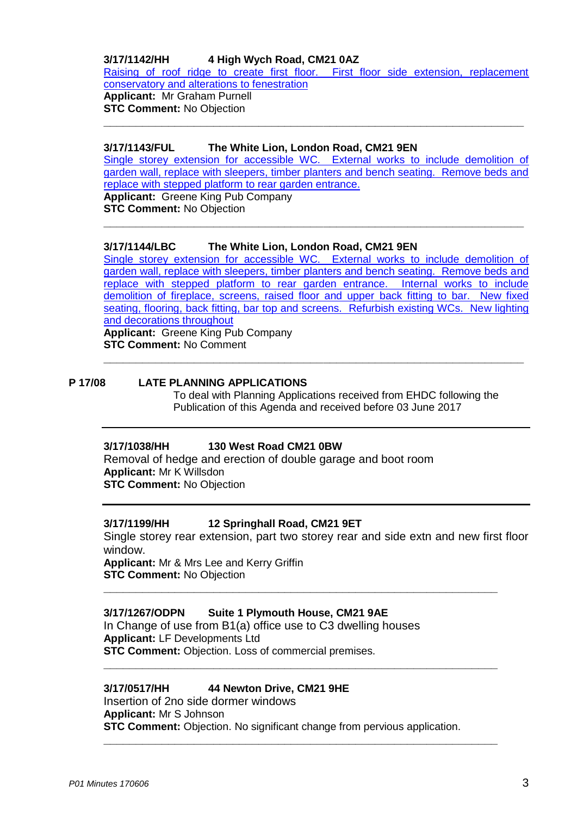# **3/17/1142/HH 4 High Wych Road, CM21 0AZ**

[Raising of roof ridge to create first floor. First floor side extension, replacement](https://publicaccess.eastherts.gov.uk/online-applications/applicationDetails.do?activeTab=summary&keyVal=OPZQN9GLGTD00)  [conservatory and alterations to fenestration](https://publicaccess.eastherts.gov.uk/online-applications/applicationDetails.do?activeTab=summary&keyVal=OPZQN9GLGTD00) **Applicant:** Mr Graham Purnell **STC Comment:** No Objection

**\_\_\_\_\_\_\_\_\_\_\_\_\_\_\_\_\_\_\_\_\_\_\_\_\_\_\_\_\_\_\_\_\_\_\_\_\_\_\_\_\_\_\_\_\_\_\_\_\_\_\_\_\_\_\_\_\_\_\_\_\_\_\_\_\_**

### **3/17/1143/FUL The White Lion, London Road, CM21 9EN**

[Single storey extension for accessible WC. External works to include demolition of](https://publicaccess.eastherts.gov.uk/online-applications/applicationDetails.do?activeTab=summary&keyVal=OQ01QLGLGTG00)  [garden wall, replace with sleepers, timber planters and bench seating. Remove beds and](https://publicaccess.eastherts.gov.uk/online-applications/applicationDetails.do?activeTab=summary&keyVal=OQ01QLGLGTG00)  [replace with stepped platform](https://publicaccess.eastherts.gov.uk/online-applications/applicationDetails.do?activeTab=summary&keyVal=OQ01QLGLGTG00) to rear garden entrance.

**\_\_\_\_\_\_\_\_\_\_\_\_\_\_\_\_\_\_\_\_\_\_\_\_\_\_\_\_\_\_\_\_\_\_\_\_\_\_\_\_\_\_\_\_\_\_\_\_\_\_\_\_\_\_\_\_\_\_\_\_\_\_\_\_\_**

**Applicant:** Greene King Pub Company **STC Comment:** No Objection

### **3/17/1144/LBC The White Lion, London Road, CM21 9EN**

[Single storey extension for accessible WC. External works to include demolition of](https://publicaccess.eastherts.gov.uk/online-applications/applicationDetails.do?activeTab=summary&keyVal=OQ01R0GLGTH00)  [garden wall, replace with sleepers, timber planters and bench seating. Remove beds and](https://publicaccess.eastherts.gov.uk/online-applications/applicationDetails.do?activeTab=summary&keyVal=OQ01R0GLGTH00)  [replace with stepped platform to rear garden entrance. Internal works to include](https://publicaccess.eastherts.gov.uk/online-applications/applicationDetails.do?activeTab=summary&keyVal=OQ01R0GLGTH00)  [demolition of fireplace, screens, raised floor and upper back fitting](https://publicaccess.eastherts.gov.uk/online-applications/applicationDetails.do?activeTab=summary&keyVal=OQ01R0GLGTH00) to bar. New fixed [seating, flooring, back fitting, bar top and screens. Refurbish existing WCs. New lighting](https://publicaccess.eastherts.gov.uk/online-applications/applicationDetails.do?activeTab=summary&keyVal=OQ01R0GLGTH00)  [and decorations throughout](https://publicaccess.eastherts.gov.uk/online-applications/applicationDetails.do?activeTab=summary&keyVal=OQ01R0GLGTH00) **Applicant:** Greene King Pub Company

**\_\_\_\_\_\_\_\_\_\_\_\_\_\_\_\_\_\_\_\_\_\_\_\_\_\_\_\_\_\_\_\_\_\_\_\_\_\_\_\_\_\_\_\_\_\_\_\_\_\_\_\_\_\_\_\_\_\_\_\_\_\_\_\_\_**

**STC Comment:** No Comment

#### **P 17/08 LATE PLANNING APPLICATIONS**

To deal with Planning Applications received from EHDC following the Publication of this Agenda and received before 03 June 2017

#### **3/17/1038/HH 130 West Road CM21 0BW**

Removal of hedge and erection of double garage and boot room **Applicant:** Mr K Willsdon **STC Comment:** No Objection

#### **3/17/1199/HH 12 Springhall Road, CM21 9ET**

Single storey rear extension, part two storey rear and side extn and new first floor window. **Applicant:** Mr & Mrs Lee and Kerry Griffin

**\_\_\_\_\_\_\_\_\_\_\_\_\_\_\_\_\_\_\_\_\_\_\_\_\_\_\_\_\_\_\_\_\_\_\_\_\_\_\_\_\_\_\_\_\_\_\_\_\_\_\_\_\_\_\_\_\_\_\_\_\_**

**\_\_\_\_\_\_\_\_\_\_\_\_\_\_\_\_\_\_\_\_\_\_\_\_\_\_\_\_\_\_\_\_\_\_\_\_\_\_\_\_\_\_\_\_\_\_\_\_\_\_\_\_\_\_\_\_\_\_\_\_\_**

**\_\_\_\_\_\_\_\_\_\_\_\_\_\_\_\_\_\_\_\_\_\_\_\_\_\_\_\_\_\_\_\_\_\_\_\_\_\_\_\_\_\_\_\_\_\_\_\_\_\_\_\_\_\_\_\_\_\_\_\_\_**

**STC Comment:** No Objection

#### **3/17/1267/ODPN Suite 1 Plymouth House, CM21 9AE**

In Change of use from B1(a) office use to C3 dwelling houses **Applicant:** LF Developments Ltd **STC Comment:** Objection. Loss of commercial premises.

#### **3/17/0517/HH 44 Newton Drive, CM21 9HE**

Insertion of 2no side dormer windows **Applicant:** Mr S Johnson **STC Comment:** Objection. No significant change from pervious application.